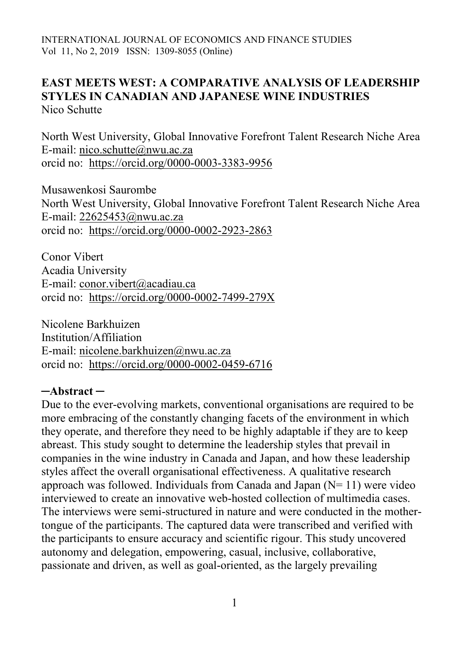## **EAST MEETS WEST: A COMPARATIVE ANALYSIS OF LEADERSHIP STYLES IN CANADIAN AND JAPANESE WINE INDUSTRIES** Nico Schutte

North West University, Global Innovative Forefront Talent Research Niche Area E-mail: [nico.schutte@nwu.ac.za](mailto:nico.schutte@nwu.ac.za) orcid no: <https://orcid.org/0000-0003-3383-9956>

Musawenkosi Saurombe North West University, Global Innovative Forefront Talent Research Niche Area E-mail: [22625453@nwu.ac.za](mailto:22625453@nwu.ac.za) orcid no: <https://orcid.org/0000-0002-2923-2863>

Conor Vibert Acadia University E-mail: [conor.vibert@acadiau.ca](mailto:conor.vibert@acadiau.ca) orcid no: <https://orcid.org/0000-0002-7499-279X>

Nicolene Barkhuizen Institution/Affiliation E-mail: [nicolene.barkhuizen@nwu.ac.za](mailto:nicolene.barkhuizen@nwu.ac.za) orcid no: <https://orcid.org/0000-0002-0459-6716>

### **─Abstract ─**

Due to the ever-evolving markets, conventional organisations are required to be more embracing of the constantly changing facets of the environment in which they operate, and therefore they need to be highly adaptable if they are to keep abreast. This study sought to determine the leadership styles that prevail in companies in the wine industry in Canada and Japan, and how these leadership styles affect the overall organisational effectiveness. A qualitative research approach was followed. Individuals from Canada and Japan  $(N=11)$  were video interviewed to create an innovative web-hosted collection of multimedia cases. The interviews were semi-structured in nature and were conducted in the mothertongue of the participants. The captured data were transcribed and verified with the participants to ensure accuracy and scientific rigour. This study uncovered autonomy and delegation, empowering, casual, inclusive, collaborative, passionate and driven, as well as goal-oriented, as the largely prevailing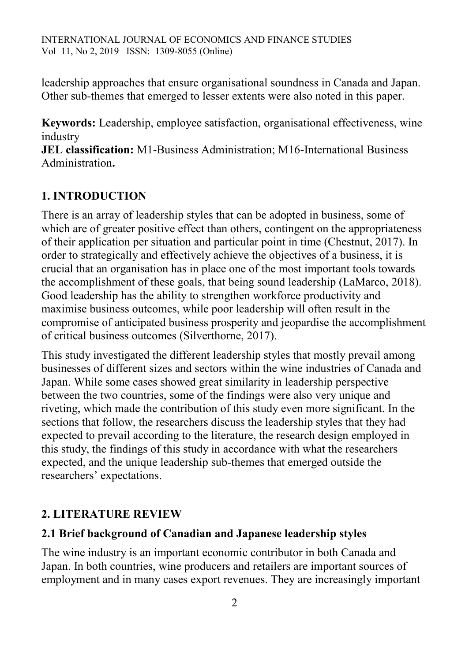leadership approaches that ensure organisational soundness in Canada and Japan. Other sub-themes that emerged to lesser extents were also noted in this paper.

**Keywords:** Leadership, employee satisfaction, organisational effectiveness, wine industry

**JEL classification:** M1-Business Administration; M16-International Business Administration**.**

# **1. INTRODUCTION**

There is an array of leadership styles that can be adopted in business, some of which are of greater positive effect than others, contingent on the appropriateness of their application per situation and particular point in time (Chestnut, 2017). In order to strategically and effectively achieve the objectives of a business, it is crucial that an organisation has in place one of the most important tools towards the accomplishment of these goals, that being sound leadership (LaMarco, 2018). Good leadership has the ability to strengthen workforce productivity and maximise business outcomes, while poor leadership will often result in the compromise of anticipated business prosperity and jeopardise the accomplishment of critical business outcomes (Silverthorne, 2017).

This study investigated the different leadership styles that mostly prevail among businesses of different sizes and sectors within the wine industries of Canada and Japan. While some cases showed great similarity in leadership perspective between the two countries, some of the findings were also very unique and riveting, which made the contribution of this study even more significant. In the sections that follow, the researchers discuss the leadership styles that they had expected to prevail according to the literature, the research design employed in this study, the findings of this study in accordance with what the researchers expected, and the unique leadership sub-themes that emerged outside the researchers' expectations.

## **2. LITERATURE REVIEW**

### **2.1 Brief background of Canadian and Japanese leadership styles**

The wine industry is an important economic contributor in both Canada and Japan. In both countries, wine producers and retailers are important sources of employment and in many cases export revenues. They are increasingly important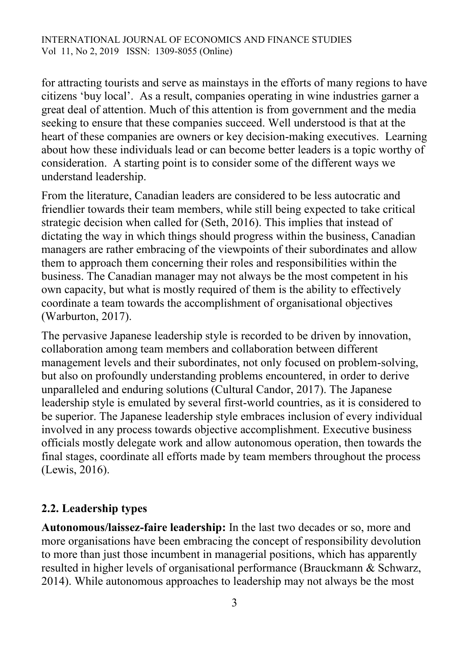for attracting tourists and serve as mainstays in the efforts of many regions to have citizens 'buy local'. As a result, companies operating in wine industries garner a great deal of attention. Much of this attention is from government and the media seeking to ensure that these companies succeed. Well understood is that at the heart of these companies are owners or key decision-making executives. Learning about how these individuals lead or can become better leaders is a topic worthy of consideration. A starting point is to consider some of the different ways we understand leadership.

From the literature, Canadian leaders are considered to be less autocratic and friendlier towards their team members, while still being expected to take critical strategic decision when called for (Seth, 2016). This implies that instead of dictating the way in which things should progress within the business, Canadian managers are rather embracing of the viewpoints of their subordinates and allow them to approach them concerning their roles and responsibilities within the business. The Canadian manager may not always be the most competent in his own capacity, but what is mostly required of them is the ability to effectively coordinate a team towards the accomplishment of organisational objectives (Warburton, 2017).

The pervasive Japanese leadership style is recorded to be driven by innovation, collaboration among team members and collaboration between different management levels and their subordinates, not only focused on problem-solving, but also on profoundly understanding problems encountered, in order to derive unparalleled and enduring solutions (Cultural Candor, 2017). The Japanese leadership style is emulated by several first-world countries, as it is considered to be superior. The Japanese leadership style embraces inclusion of every individual involved in any process towards objective accomplishment. Executive business officials mostly delegate work and allow autonomous operation, then towards the final stages, coordinate all efforts made by team members throughout the process (Lewis, 2016).

## **2.2. Leadership types**

**Autonomous/laissez-faire leadership:** In the last two decades or so, more and more organisations have been embracing the concept of responsibility devolution to more than just those incumbent in managerial positions, which has apparently resulted in higher levels of organisational performance (Brauckmann & Schwarz, 2014). While autonomous approaches to leadership may not always be the most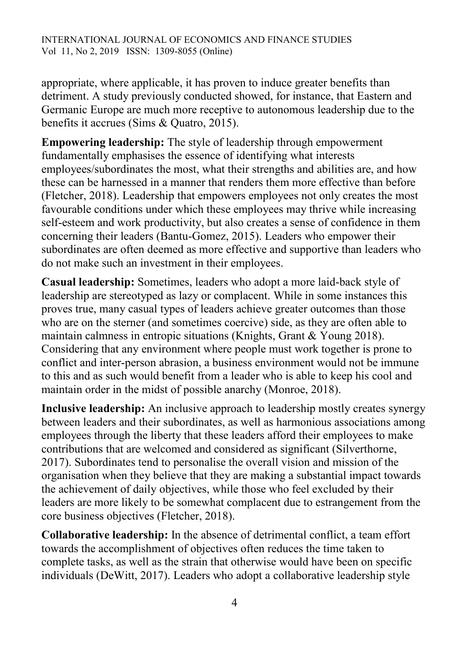appropriate, where applicable, it has proven to induce greater benefits than detriment. A study previously conducted showed, for instance, that Eastern and Germanic Europe are much more receptive to autonomous leadership due to the benefits it accrues (Sims & Quatro, 2015).

**Empowering leadership:** The style of leadership through empowerment fundamentally emphasises the essence of identifying what interests employees/subordinates the most, what their strengths and abilities are, and how these can be harnessed in a manner that renders them more effective than before (Fletcher, 2018). Leadership that empowers employees not only creates the most favourable conditions under which these employees may thrive while increasing self-esteem and work productivity, but also creates a sense of confidence in them concerning their leaders (Bantu-Gomez, 2015). Leaders who empower their subordinates are often deemed as more effective and supportive than leaders who do not make such an investment in their employees.

**Casual leadership:** Sometimes, leaders who adopt a more laid-back style of leadership are stereotyped as lazy or complacent. While in some instances this proves true, many casual types of leaders achieve greater outcomes than those who are on the sterner (and sometimes coercive) side, as they are often able to maintain calmness in entropic situations (Knights, Grant & Young 2018). Considering that any environment where people must work together is prone to conflict and inter-person abrasion, a business environment would not be immune to this and as such would benefit from a leader who is able to keep his cool and maintain order in the midst of possible anarchy (Monroe, 2018).

**Inclusive leadership:** An inclusive approach to leadership mostly creates synergy between leaders and their subordinates, as well as harmonious associations among employees through the liberty that these leaders afford their employees to make contributions that are welcomed and considered as significant (Silverthorne, 2017). Subordinates tend to personalise the overall vision and mission of the organisation when they believe that they are making a substantial impact towards the achievement of daily objectives, while those who feel excluded by their leaders are more likely to be somewhat complacent due to estrangement from the core business objectives (Fletcher, 2018).

**Collaborative leadership:** In the absence of detrimental conflict, a team effort towards the accomplishment of objectives often reduces the time taken to complete tasks, as well as the strain that otherwise would have been on specific individuals (DeWitt, 2017). Leaders who adopt a collaborative leadership style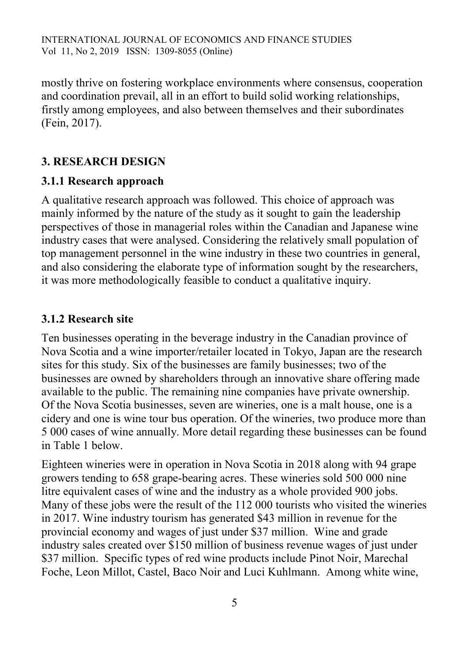mostly thrive on fostering workplace environments where consensus, cooperation and coordination prevail, all in an effort to build solid working relationships, firstly among employees, and also between themselves and their subordinates (Fein, 2017).

## **3. RESEARCH DESIGN**

## **3.1.1 Research approach**

A qualitative research approach was followed. This choice of approach was mainly informed by the nature of the study as it sought to gain the leadership perspectives of those in managerial roles within the Canadian and Japanese wine industry cases that were analysed. Considering the relatively small population of top management personnel in the wine industry in these two countries in general, and also considering the elaborate type of information sought by the researchers, it was more methodologically feasible to conduct a qualitative inquiry.

## **3.1.2 Research site**

Ten businesses operating in the beverage industry in the Canadian province of Nova Scotia and a wine importer/retailer located in Tokyo, Japan are the research sites for this study. Six of the businesses are family businesses; two of the businesses are owned by shareholders through an innovative share offering made available to the public. The remaining nine companies have private ownership. Of the Nova Scotia businesses, seven are wineries, one is a malt house, one is a cidery and one is wine tour bus operation. Of the wineries, two produce more than 5 000 cases of wine annually. More detail regarding these businesses can be found in Table 1 below.

Eighteen wineries were in operation in Nova Scotia in 2018 along with 94 grape growers tending to 658 grape-bearing acres. These wineries sold 500 000 nine litre equivalent cases of wine and the industry as a whole provided 900 jobs. Many of these jobs were the result of the 112 000 tourists who visited the wineries in 2017. Wine industry tourism has generated \$43 million in revenue for the provincial economy and wages of just under \$37 million. Wine and grade industry sales created over \$150 million of business revenue wages of just under \$37 million. Specific types of red wine products include Pinot Noir, Marechal Foche, Leon Millot, Castel, Baco Noir and Luci Kuhlmann. Among white wine,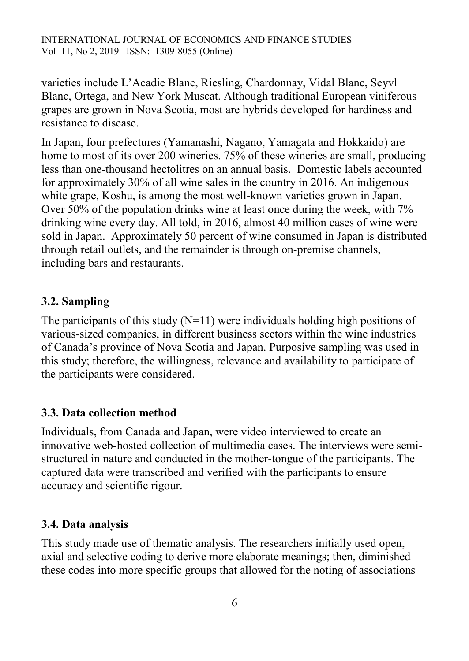varieties include L'Acadie Blanc, Riesling, Chardonnay, Vidal Blanc, Seyvl Blanc, Ortega, and New York Muscat. Although traditional European viniferous grapes are grown in Nova Scotia, most are hybrids developed for hardiness and resistance to disease.

In Japan, four prefectures (Yamanashi, Nagano, Yamagata and Hokkaido) are home to most of its over 200 wineries. 75% of these wineries are small, producing less than one-thousand hectolitres on an annual basis. Domestic labels accounted for approximately 30% of all wine sales in the country in 2016. An indigenous white grape, Koshu, is among the most well-known varieties grown in Japan. Over 50% of the population drinks wine at least once during the week, with 7% drinking wine every day. All told, in 2016, almost 40 million cases of wine were sold in Japan. Approximately 50 percent of wine consumed in Japan is distributed through retail outlets, and the remainder is through on-premise channels, including bars and restaurants.

## **3.2. Sampling**

The participants of this study  $(N=11)$  were individuals holding high positions of various-sized companies, in different business sectors within the wine industries of Canada's province of Nova Scotia and Japan. Purposive sampling was used in this study; therefore, the willingness, relevance and availability to participate of the participants were considered.

### **3.3. Data collection method**

Individuals, from Canada and Japan, were video interviewed to create an innovative web-hosted collection of multimedia cases. The interviews were semistructured in nature and conducted in the mother-tongue of the participants. The captured data were transcribed and verified with the participants to ensure accuracy and scientific rigour.

### **3.4. Data analysis**

This study made use of thematic analysis. The researchers initially used open, axial and selective coding to derive more elaborate meanings; then, diminished these codes into more specific groups that allowed for the noting of associations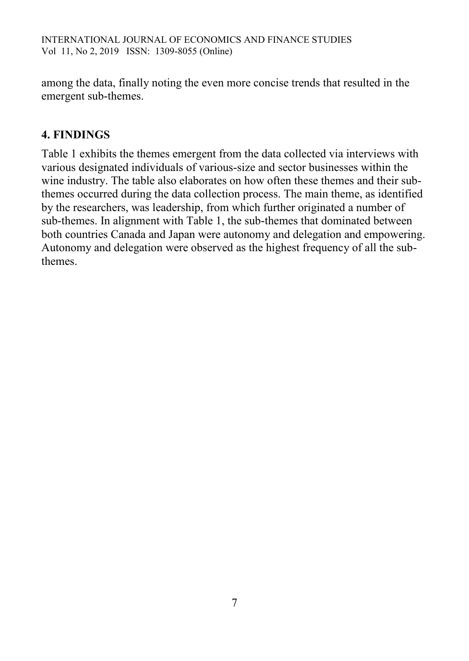among the data, finally noting the even more concise trends that resulted in the emergent sub-themes.

# **4. FINDINGS**

Table 1 exhibits the themes emergent from the data collected via interviews with various designated individuals of various-size and sector businesses within the wine industry. The table also elaborates on how often these themes and their subthemes occurred during the data collection process. The main theme, as identified by the researchers, was leadership, from which further originated a number of sub-themes. In alignment with Table 1, the sub-themes that dominated between both countries Canada and Japan were autonomy and delegation and empowering. Autonomy and delegation were observed as the highest frequency of all the subthemes.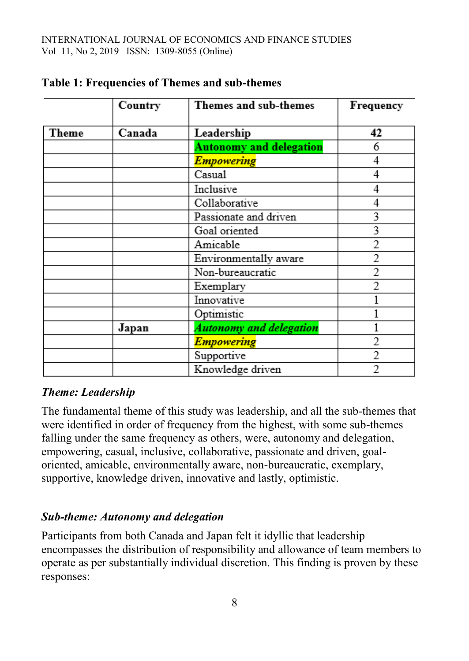|              | Country | Themes and sub-themes          | Frequency |
|--------------|---------|--------------------------------|-----------|
| <b>Theme</b> | Canada  | Leadership                     | 42        |
|              |         | <b>Autonomy and delegation</b> | 6         |
|              |         | <b>Empowering</b>              | 4         |
|              |         | Casual                         | 4         |
|              |         | Inclusive                      | 4         |
|              |         | Collaborative                  |           |
|              |         | Passionate and driven          | 3         |
|              |         | Goal oriented                  | 3         |
|              |         | Amicable                       | 2         |
|              |         | Environmentally aware          |           |
|              |         | Non-bureaucratic               | 2         |
|              |         | Exemplary                      | 2         |
|              |         | Innovative                     |           |
|              |         | Optimistic                     |           |
|              | Japan   | <b>Autonomy and delegation</b> |           |
|              |         | <b>Empowering</b>              |           |
|              |         | Supportive                     |           |
|              |         | Knowledge driven               |           |

### **Table 1: Frequencies of Themes and sub-themes**

### *Theme: Leadership*

The fundamental theme of this study was leadership, and all the sub-themes that were identified in order of frequency from the highest, with some sub-themes falling under the same frequency as others, were, autonomy and delegation, empowering, casual, inclusive, collaborative, passionate and driven, goaloriented, amicable, environmentally aware, non-bureaucratic, exemplary, supportive, knowledge driven, innovative and lastly, optimistic.

### *Sub-theme: Autonomy and delegation*

Participants from both Canada and Japan felt it idyllic that leadership encompasses the distribution of responsibility and allowance of team members to operate as per substantially individual discretion. This finding is proven by these responses: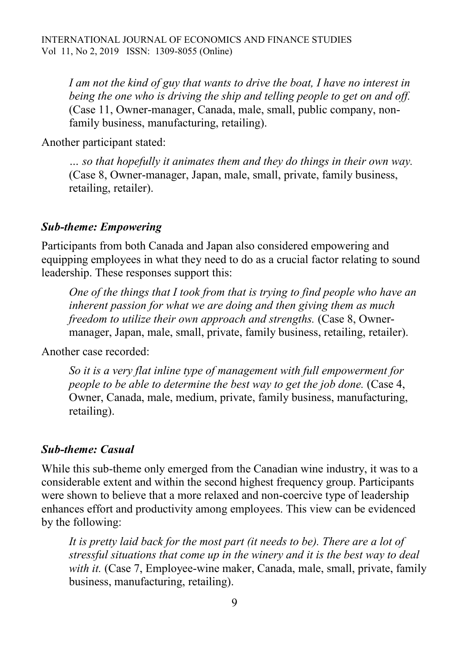*I am not the kind of guy that wants to drive the boat, I have no interest in being the one who is driving the ship and telling people to get on and off.*  (Case 11, Owner-manager, Canada, male, small, public company, nonfamily business, manufacturing, retailing).

Another participant stated:

*… so that hopefully it animates them and they do things in their own way.*  (Case 8, Owner-manager, Japan, male, small, private, family business, retailing, retailer).

#### *Sub-theme: Empowering*

Participants from both Canada and Japan also considered empowering and equipping employees in what they need to do as a crucial factor relating to sound leadership. These responses support this:

*One of the things that I took from that is trying to find people who have an inherent passion for what we are doing and then giving them as much freedom to utilize their own approach and strengths.* (Case 8, Ownermanager, Japan, male, small, private, family business, retailing, retailer).

Another case recorded:

*So it is a very flat inline type of management with full empowerment for people to be able to determine the best way to get the job done.* (Case 4, Owner, Canada, male, medium, private, family business, manufacturing, retailing).

#### *Sub-theme: Casual*

While this sub-theme only emerged from the Canadian wine industry, it was to a considerable extent and within the second highest frequency group. Participants were shown to believe that a more relaxed and non-coercive type of leadership enhances effort and productivity among employees. This view can be evidenced by the following:

*It is pretty laid back for the most part (it needs to be). There are a lot of stressful situations that come up in the winery and it is the best way to deal with it.* (Case 7, Employee-wine maker, Canada, male, small, private, family business, manufacturing, retailing).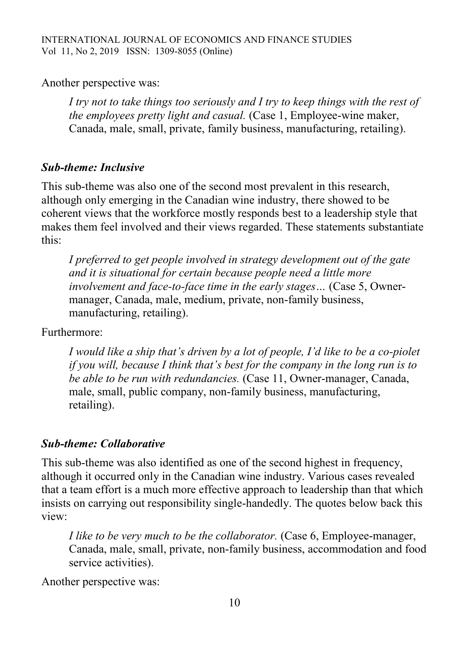Another perspective was:

*I try not to take things too seriously and I try to keep things with the rest of the employees pretty light and casual.* (Case 1, Employee-wine maker, Canada, male, small, private, family business, manufacturing, retailing).

### *Sub-theme: Inclusive*

This sub-theme was also one of the second most prevalent in this research, although only emerging in the Canadian wine industry, there showed to be coherent views that the workforce mostly responds best to a leadership style that makes them feel involved and their views regarded. These statements substantiate this:

*I preferred to get people involved in strategy development out of the gate and it is situational for certain because people need a little more involvement and face-to-face time in the early stages…* (Case 5, Ownermanager, Canada, male, medium, private, non-family business, manufacturing, retailing).

Furthermore:

*I would like a ship that's driven by a lot of people, I'd like to be a co-piolet if you will, because I think that's best for the company in the long run is to be able to be run with redundancies.* (Case 11, Owner-manager, Canada, male, small, public company, non-family business, manufacturing, retailing).

### *Sub-theme: Collaborative*

This sub-theme was also identified as one of the second highest in frequency, although it occurred only in the Canadian wine industry. Various cases revealed that a team effort is a much more effective approach to leadership than that which insists on carrying out responsibility single-handedly. The quotes below back this view:

*I like to be very much to be the collaborator.* (Case 6, Employee-manager, Canada, male, small, private, non-family business, accommodation and food service activities).

Another perspective was: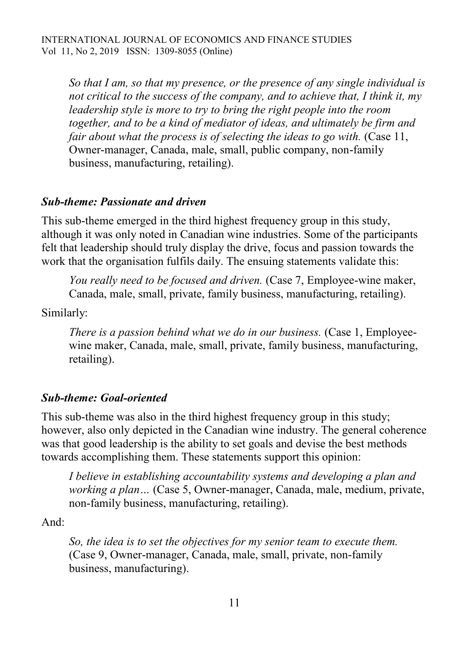*So that I am, so that my presence, or the presence of any single individual is not critical to the success of the company, and to achieve that, I think it, my leadership style is more to try to bring the right people into the room together, and to be a kind of mediator of ideas, and ultimately be firm and fair about what the process is of selecting the ideas to go with.* (Case 11, Owner-manager, Canada, male, small, public company, non-family business, manufacturing, retailing).

#### *Sub-theme: Passionate and driven*

This sub-theme emerged in the third highest frequency group in this study, although it was only noted in Canadian wine industries. Some of the participants felt that leadership should truly display the drive, focus and passion towards the work that the organisation fulfils daily. The ensuing statements validate this:

*You really need to be focused and driven.* (Case 7, Employee-wine maker, Canada, male, small, private, family business, manufacturing, retailing).

Similarly:

*There is a passion behind what we do in our business.* (Case 1, Employeewine maker, Canada, male, small, private, family business, manufacturing, retailing).

### *Sub-theme: Goal-oriented*

This sub-theme was also in the third highest frequency group in this study; however, also only depicted in the Canadian wine industry. The general coherence was that good leadership is the ability to set goals and devise the best methods towards accomplishing them. These statements support this opinion:

*I believe in establishing accountability systems and developing a plan and working a plan…* (Case 5, Owner-manager, Canada, male, medium, private, non-family business, manufacturing, retailing).

And:

*So, the idea is to set the objectives for my senior team to execute them.*  (Case 9, Owner-manager, Canada, male, small, private, non-family business, manufacturing).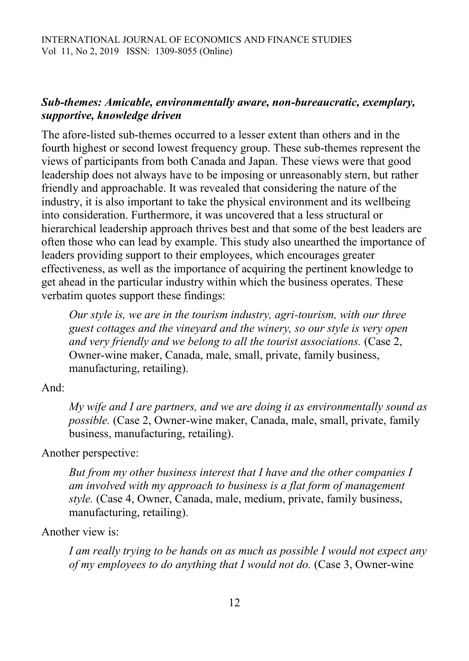## *Sub-themes: Amicable, environmentally aware, non-bureaucratic, exemplary, supportive, knowledge driven*

The afore-listed sub-themes occurred to a lesser extent than others and in the fourth highest or second lowest frequency group. These sub-themes represent the views of participants from both Canada and Japan. These views were that good leadership does not always have to be imposing or unreasonably stern, but rather friendly and approachable. It was revealed that considering the nature of the industry, it is also important to take the physical environment and its wellbeing into consideration. Furthermore, it was uncovered that a less structural or hierarchical leadership approach thrives best and that some of the best leaders are often those who can lead by example. This study also unearthed the importance of leaders providing support to their employees, which encourages greater effectiveness, as well as the importance of acquiring the pertinent knowledge to get ahead in the particular industry within which the business operates. These verbatim quotes support these findings:

*Our style is, we are in the tourism industry, agri-tourism, with our three guest cottages and the vineyard and the winery, so our style is very open and very friendly and we belong to all the tourist associations.* (Case 2, Owner-wine maker, Canada, male, small, private, family business, manufacturing, retailing).

#### And:

*My wife and I are partners, and we are doing it as environmentally sound as possible.* (Case 2, Owner-wine maker, Canada, male, small, private, family business, manufacturing, retailing).

### Another perspective:

*But from my other business interest that I have and the other companies I am involved with my approach to business is a flat form of management style.* (Case 4, Owner, Canada, male, medium, private, family business, manufacturing, retailing).

### Another view is:

*I am really trying to be hands on as much as possible I would not expect any of my employees to do anything that I would not do.* (Case 3, Owner-wine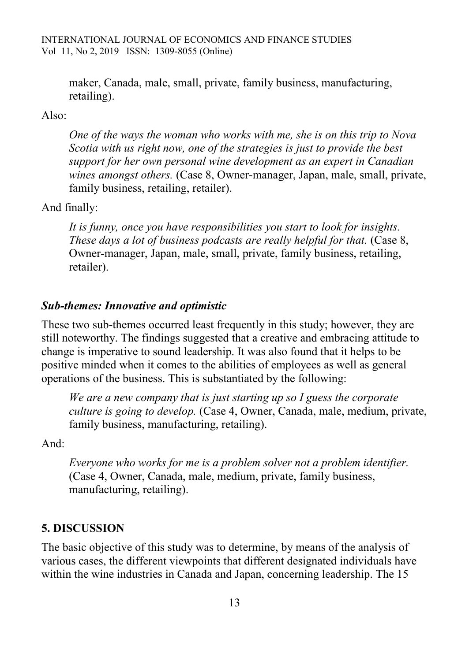maker, Canada, male, small, private, family business, manufacturing, retailing).

#### Also:

*One of the ways the woman who works with me, she is on this trip to Nova Scotia with us right now, one of the strategies is just to provide the best support for her own personal wine development as an expert in Canadian wines amongst others.* (Case 8, Owner-manager, Japan, male, small, private, family business, retailing, retailer).

#### And finally:

*It is funny, once you have responsibilities you start to look for insights. These days a lot of business podcasts are really helpful for that.* (Case 8, Owner-manager, Japan, male, small, private, family business, retailing, retailer).

#### *Sub-themes: Innovative and optimistic*

These two sub-themes occurred least frequently in this study; however, they are still noteworthy. The findings suggested that a creative and embracing attitude to change is imperative to sound leadership. It was also found that it helps to be positive minded when it comes to the abilities of employees as well as general operations of the business. This is substantiated by the following:

*We are a new company that is just starting up so I guess the corporate culture is going to develop.* (Case 4, Owner, Canada, male, medium, private, family business, manufacturing, retailing).

And:

*Everyone who works for me is a problem solver not a problem identifier.* (Case 4, Owner, Canada, male, medium, private, family business, manufacturing, retailing).

#### **5. DISCUSSION**

The basic objective of this study was to determine, by means of the analysis of various cases, the different viewpoints that different designated individuals have within the wine industries in Canada and Japan, concerning leadership. The 15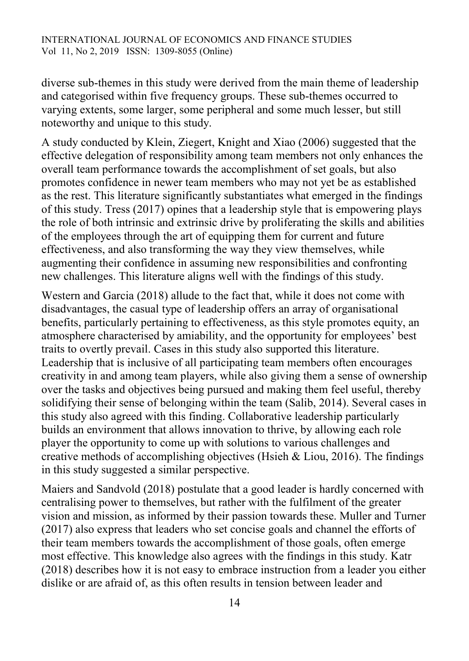diverse sub-themes in this study were derived from the main theme of leadership and categorised within five frequency groups. These sub-themes occurred to varying extents, some larger, some peripheral and some much lesser, but still noteworthy and unique to this study.

A study conducted by Klein, Ziegert, Knight and Xiao (2006) suggested that the effective delegation of responsibility among team members not only enhances the overall team performance towards the accomplishment of set goals, but also promotes confidence in newer team members who may not yet be as established as the rest. This literature significantly substantiates what emerged in the findings of this study. Tress (2017) opines that a leadership style that is empowering plays the role of both intrinsic and extrinsic drive by proliferating the skills and abilities of the employees through the art of equipping them for current and future effectiveness, and also transforming the way they view themselves, while augmenting their confidence in assuming new responsibilities and confronting new challenges. This literature aligns well with the findings of this study.

Western and Garcia (2018) allude to the fact that, while it does not come with disadvantages, the casual type of leadership offers an array of organisational benefits, particularly pertaining to effectiveness, as this style promotes equity, an atmosphere characterised by amiability, and the opportunity for employees' best traits to overtly prevail. Cases in this study also supported this literature. Leadership that is inclusive of all participating team members often encourages creativity in and among team players, while also giving them a sense of ownership over the tasks and objectives being pursued and making them feel useful, thereby solidifying their sense of belonging within the team (Salib, 2014). Several cases in this study also agreed with this finding. Collaborative leadership particularly builds an environment that allows innovation to thrive, by allowing each role player the opportunity to come up with solutions to various challenges and creative methods of accomplishing objectives (Hsieh  $&$  Liou, 2016). The findings in this study suggested a similar perspective.

Maiers and Sandvold (2018) postulate that a good leader is hardly concerned with centralising power to themselves, but rather with the fulfilment of the greater vision and mission, as informed by their passion towards these. Muller and Turner (2017) also express that leaders who set concise goals and channel the efforts of their team members towards the accomplishment of those goals, often emerge most effective. This knowledge also agrees with the findings in this study. Katr (2018) describes how it is not easy to embrace instruction from a leader you either dislike or are afraid of, as this often results in tension between leader and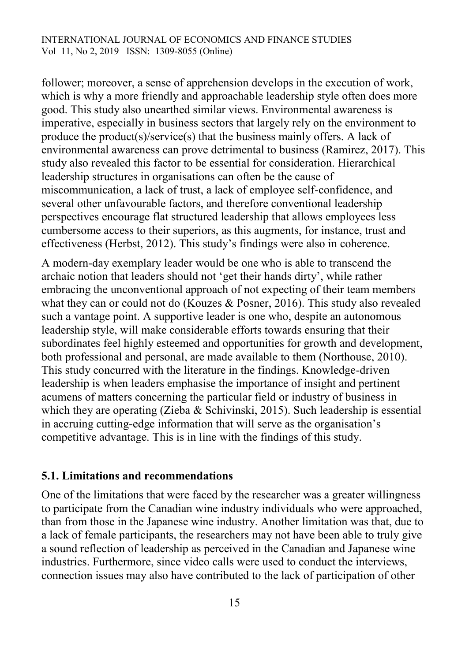follower; moreover, a sense of apprehension develops in the execution of work, which is why a more friendly and approachable leadership style often does more good. This study also unearthed similar views. Environmental awareness is imperative, especially in business sectors that largely rely on the environment to produce the product(s)/service(s) that the business mainly offers. A lack of environmental awareness can prove detrimental to business (Ramirez, 2017). This study also revealed this factor to be essential for consideration. Hierarchical leadership structures in organisations can often be the cause of miscommunication, a lack of trust, a lack of employee self-confidence, and several other unfavourable factors, and therefore conventional leadership perspectives encourage flat structured leadership that allows employees less cumbersome access to their superiors, as this augments, for instance, trust and effectiveness (Herbst, 2012). This study's findings were also in coherence.

A modern-day exemplary leader would be one who is able to transcend the archaic notion that leaders should not 'get their hands dirty', while rather embracing the unconventional approach of not expecting of their team members what they can or could not do (Kouzes & Posner, 2016). This study also revealed such a vantage point. A supportive leader is one who, despite an autonomous leadership style, will make considerable efforts towards ensuring that their subordinates feel highly esteemed and opportunities for growth and development, both professional and personal, are made available to them (Northouse, 2010). This study concurred with the literature in the findings. Knowledge-driven leadership is when leaders emphasise the importance of insight and pertinent acumens of matters concerning the particular field or industry of business in which they are operating (Zieba & Schivinski, 2015). Such leadership is essential in accruing cutting-edge information that will serve as the organisation's competitive advantage. This is in line with the findings of this study.

#### **5.1. Limitations and recommendations**

One of the limitations that were faced by the researcher was a greater willingness to participate from the Canadian wine industry individuals who were approached, than from those in the Japanese wine industry. Another limitation was that, due to a lack of female participants, the researchers may not have been able to truly give a sound reflection of leadership as perceived in the Canadian and Japanese wine industries. Furthermore, since video calls were used to conduct the interviews, connection issues may also have contributed to the lack of participation of other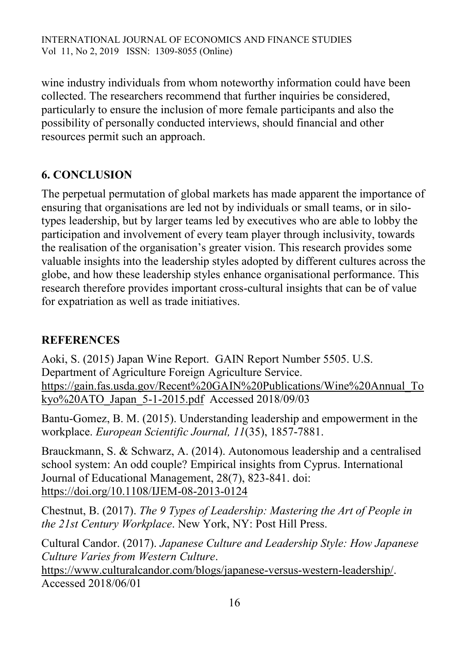wine industry individuals from whom noteworthy information could have been collected. The researchers recommend that further inquiries be considered, particularly to ensure the inclusion of more female participants and also the possibility of personally conducted interviews, should financial and other resources permit such an approach.

# **6. CONCLUSION**

The perpetual permutation of global markets has made apparent the importance of ensuring that organisations are led not by individuals or small teams, or in silotypes leadership, but by larger teams led by executives who are able to lobby the participation and involvement of every team player through inclusivity, towards the realisation of the organisation's greater vision. This research provides some valuable insights into the leadership styles adopted by different cultures across the globe, and how these leadership styles enhance organisational performance. This research therefore provides important cross-cultural insights that can be of value for expatriation as well as trade initiatives.

## **REFERENCES**

Aoki, S. (2015) Japan Wine Report. GAIN Report Number 5505. U.S. Department of Agriculture Foreign Agriculture Service. [https://gain.fas.usda.gov/Recent%20GAIN%20Publications/Wine%20Annual\\_To](https://gain.fas.usda.gov/Recent%20GAIN%20Publications/Wine%20Annual_Tokyo%20ATO_Japan_5-1-2015.pdf) [kyo%20ATO\\_Japan\\_5-1-2015.pdf](https://gain.fas.usda.gov/Recent%20GAIN%20Publications/Wine%20Annual_Tokyo%20ATO_Japan_5-1-2015.pdf) Accessed 2018/09/03

Bantu-Gomez, B. M. (2015). Understanding leadership and empowerment in the workplace. *European Scientific Journal, 11*(35), 1857-7881.

Brauckmann, S. & Schwarz, A. (2014). Autonomous leadership and a centralised school system: An odd couple? Empirical insights from Cyprus. International Journal of Educational Management, 28(7), 823-841. doi: <https://doi.org/10.1108/IJEM-08-2013-0124>

Chestnut, B. (2017). *The 9 Types of Leadership: Mastering the Art of People in the 21st Century Workplace*. New York, NY: Post Hill Press.

Cultural Candor. (2017). *Japanese Culture and Leadership Style: How Japanese Culture Varies from Western Culture*.

[https://www.culturalcandor.com/blogs/japanese-versus-western-leadership/.](https://www.culturalcandor.com/blogs/japanese-versus-western-leadership/) Accessed 2018/06/01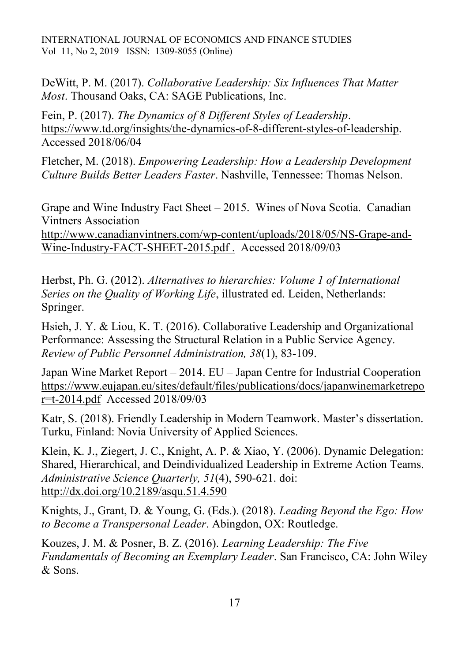DeWitt, P. M. (2017). *Collaborative Leadership: Six Influences That Matter Most*. Thousand Oaks, CA: SAGE Publications, Inc.

Fein, P. (2017). *The Dynamics of 8 Different Styles of Leadership*. [https://www.td.org/insights/the-dynamics-of-8-different-styles-of-leadership.](https://www.td.org/insights/the-dynamics-of-8-different-styles-of-leadership) Accessed 2018/06/04

Fletcher, M. (2018). *Empowering Leadership: How a Leadership Development Culture Builds Better Leaders Faster*. Nashville, Tennessee: Thomas Nelson.

Grape and Wine Industry Fact Sheet – 2015. Wines of Nova Scotia. Canadian Vintners Association

[http://www.canadianvintners.com/wp-content/uploads/2018/05/NS-Grape-and-](http://www.canadianvintners.com/wp-content/uploads/2018/05/NS-Grape-and-Wine-Industry-FACT-SHEET-2015.pdf)[Wine-Industry-FACT-SHEET-2015.pdf](http://www.canadianvintners.com/wp-content/uploads/2018/05/NS-Grape-and-Wine-Industry-FACT-SHEET-2015.pdf) . Accessed 2018/09/03

Herbst, Ph. G. (2012). *Alternatives to hierarchies: Volume 1 of International Series on the Quality of Working Life*, illustrated ed. Leiden, Netherlands: Springer.

Hsieh, J. Y. & Liou, K. T. (2016). Collaborative Leadership and Organizational Performance: Assessing the Structural Relation in a Public Service Agency. *Review of Public Personnel Administration, 38*(1), 83-109.

Japan Wine Market Report – 2014. EU – Japan Centre for Industrial Cooperation [https://www.eujapan.eu/sites/default/files/publications/docs/japanwinemarketrepo](https://www.eujapan.eu/sites/default/files/publications/docs/japanwinemarketrepor=t-2014.pdf) [r=t-2014.pdf](https://www.eujapan.eu/sites/default/files/publications/docs/japanwinemarketrepor=t-2014.pdf) Accessed 2018/09/03

Katr, S. (2018). Friendly Leadership in Modern Teamwork. Master's dissertation. Turku, Finland: Novia University of Applied Sciences.

Klein, K. J., Ziegert, J. C., Knight, A. P. & Xiao, Y. (2006). Dynamic Delegation: Shared, Hierarchical, and Deindividualized Leadership in Extreme Action Teams. *Administrative Science Quarterly, 51*(4), 590-621. doi: <http://dx.doi.org/10.2189/asqu.51.4.590>

Knights, J., Grant, D. & Young, G. (Eds.). (2018). *Leading Beyond the Ego: How to Become a Transpersonal Leader*. Abingdon, OX: Routledge.

Kouzes, J. M. & Posner, B. Z. (2016). *Learning Leadership: The Five Fundamentals of Becoming an Exemplary Leader*. San Francisco, CA: John Wiley & Sons.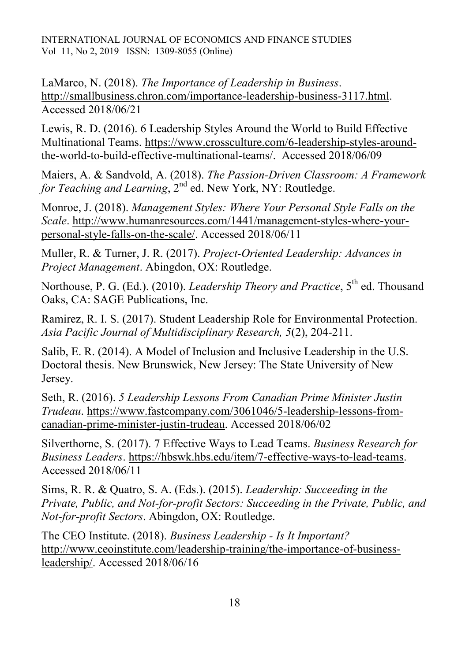LaMarco, N. (2018). *The Importance of Leadership in Business*. [http://smallbusiness.chron.com/importance-leadership-business-3117.html.](http://smallbusiness.chron.com/importance-leadership-business-3117.html) Accessed 2018/06/21

Lewis, R. D. (2016). 6 Leadership Styles Around the World to Build Effective Multinational Teams. [https://www.crossculture.com/6-leadership-styles-around](https://www.crossculture.com/6-leadership-styles-around-the-world-to-build-effective-multinational-teams/)[the-world-to-build-effective-multinational-teams/.](https://www.crossculture.com/6-leadership-styles-around-the-world-to-build-effective-multinational-teams/) Accessed 2018/06/09

Maiers, A. & Sandvold, A. (2018). *The Passion-Driven Classroom: A Framework for Teaching and Learning*, 2<sup>nd</sup> ed. New York, NY: Routledge.

Monroe, J. (2018). *Management Styles: Where Your Personal Style Falls on the Scale*. [http://www.humanresources.com/1441/management-styles-where-your](http://www.humanresources.com/1441/management-styles-where-your-personal-style-falls-on-the-scale/)[personal-style-falls-on-the-scale/.](http://www.humanresources.com/1441/management-styles-where-your-personal-style-falls-on-the-scale/) Accessed 2018/06/11

Muller, R. & Turner, J. R. (2017). *Project-Oriented Leadership: Advances in Project Management*. Abingdon, OX: Routledge.

Northouse, P. G. (Ed.). (2010). *Leadership Theory and Practice*, 5<sup>th</sup> ed. Thousand Oaks, CA: SAGE Publications, Inc.

Ramirez, R. I. S. (2017). Student Leadership Role for Environmental Protection. *Asia Pacific Journal of Multidisciplinary Research, 5*(2), 204-211.

Salib, E. R. (2014). A Model of Inclusion and Inclusive Leadership in the U.S. Doctoral thesis. New Brunswick, New Jersey: The State University of New Jersey.

Seth, R. (2016). *5 Leadership Lessons From Canadian Prime Minister Justin Trudeau*. [https://www.fastcompany.com/3061046/5-leadership-lessons-from](https://www.fastcompany.com/3061046/5-leadership-lessons-from-canadian-prime-minister-justin-trudeau)[canadian-prime-minister-justin-trudeau.](https://www.fastcompany.com/3061046/5-leadership-lessons-from-canadian-prime-minister-justin-trudeau) Accessed 2018/06/02

Silverthorne, S. (2017). 7 Effective Ways to Lead Teams. *Business Research for Business Leaders*. [https://hbswk.hbs.edu/item/7-effective-ways-to-lead-teams.](https://hbswk.hbs.edu/item/7-effective-ways-to-lead-teams) Accessed 2018/06/11

Sims, R. R. & Quatro, S. A. (Eds.). (2015). *Leadership: Succeeding in the Private, Public, and Not-for-profit Sectors: Succeeding in the Private, Public, and Not-for-profit Sectors*. Abingdon, OX: Routledge.

The CEO Institute. (2018). *Business Leadership - Is It Important?* [http://www.ceoinstitute.com/leadership-training/the-importance-of-business](http://www.ceoinstitute.com/leadership-training/the-importance-of-business-leadership/)[leadership/.](http://www.ceoinstitute.com/leadership-training/the-importance-of-business-leadership/) Accessed 2018/06/16